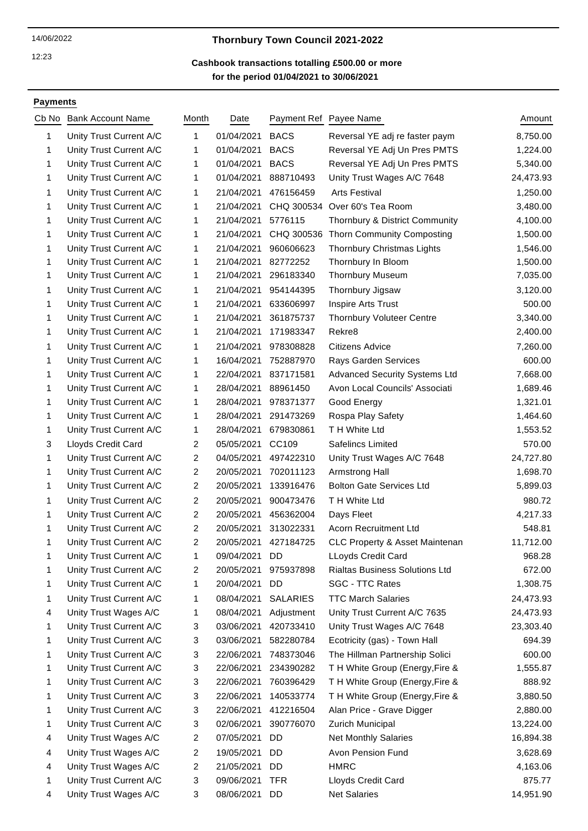### 12:23

# 14/06/2022 **Thornbury Town Council 2021-2022**

### **for the period 01/04/2021 to 30/06/2021 Cashbook transactions totalling £500.00 or more**

### **Payments**

| Cb No | <b>Bank Account Name</b> | Month | Date          |                 | Payment Ref Payee Name                | Amount    |
|-------|--------------------------|-------|---------------|-----------------|---------------------------------------|-----------|
| 1     | Unity Trust Current A/C  | 1     | 01/04/2021    | <b>BACS</b>     | Reversal YE adj re faster paym        | 8,750.00  |
| 1     | Unity Trust Current A/C  | 1     | 01/04/2021    | <b>BACS</b>     | Reversal YE Adj Un Pres PMTS          | 1,224.00  |
| 1     | Unity Trust Current A/C  | 1     | 01/04/2021    | <b>BACS</b>     | Reversal YE Adj Un Pres PMTS          | 5,340.00  |
| 1     | Unity Trust Current A/C  | 1     | 01/04/2021    | 888710493       | Unity Trust Wages A/C 7648            | 24,473.93 |
| 1     | Unity Trust Current A/C  | 1     | 21/04/2021    | 476156459       | <b>Arts Festival</b>                  | 1,250.00  |
| 1     | Unity Trust Current A/C  | 1     | 21/04/2021    | CHQ 300534      | Over 60's Tea Room                    | 3,480.00  |
| 1     | Unity Trust Current A/C  | 1     | 21/04/2021    | 5776115         | Thornbury & District Community        | 4,100.00  |
| 1     | Unity Trust Current A/C  | 1     | 21/04/2021    | CHQ 300536      | <b>Thorn Community Composting</b>     | 1,500.00  |
| 1     | Unity Trust Current A/C  | 1     | 21/04/2021    | 960606623       | Thornbury Christmas Lights            | 1,546.00  |
| 1     | Unity Trust Current A/C  | 1     | 21/04/2021    | 82772252        | Thornbury In Bloom                    | 1,500.00  |
| 1     | Unity Trust Current A/C  | 1     | 21/04/2021    | 296183340       | <b>Thornbury Museum</b>               | 7,035.00  |
| 1     | Unity Trust Current A/C  | 1     | 21/04/2021    | 954144395       | Thornbury Jigsaw                      | 3,120.00  |
| 1     | Unity Trust Current A/C  | 1     | 21/04/2021    | 633606997       | Inspire Arts Trust                    | 500.00    |
| 1     | Unity Trust Current A/C  | 1     | 21/04/2021    | 361875737       | <b>Thornbury Voluteer Centre</b>      | 3,340.00  |
| 1     | Unity Trust Current A/C  | 1     | 21/04/2021    | 171983347       | Rekre8                                | 2,400.00  |
| 1     | Unity Trust Current A/C  | 1     | 21/04/2021    | 978308828       | <b>Citizens Advice</b>                | 7,260.00  |
| 1     | Unity Trust Current A/C  | 1     | 16/04/2021    | 752887970       | Rays Garden Services                  | 600.00    |
| 1     | Unity Trust Current A/C  | 1     | 22/04/2021    | 837171581       | <b>Advanced Security Systems Ltd</b>  | 7,668.00  |
| 1     | Unity Trust Current A/C  | 1     | 28/04/2021    | 88961450        | Avon Local Councils' Associati        | 1,689.46  |
| 1     | Unity Trust Current A/C  | 1     | 28/04/2021    | 978371377       | Good Energy                           | 1,321.01  |
| 1     | Unity Trust Current A/C  | 1     | 28/04/2021    | 291473269       | Rospa Play Safety                     | 1,464.60  |
| 1     | Unity Trust Current A/C  | 1     | 28/04/2021    | 679830861       | T H White Ltd                         | 1,553.52  |
| 3     | Lloyds Credit Card       | 2     | 05/05/2021    | CC109           | Safelincs Limited                     | 570.00    |
| 1     | Unity Trust Current A/C  | 2     | 04/05/2021    | 497422310       | Unity Trust Wages A/C 7648            | 24,727.80 |
| 1     | Unity Trust Current A/C  | 2     | 20/05/2021    | 702011123       | Armstrong Hall                        | 1,698.70  |
| 1     | Unity Trust Current A/C  | 2     | 20/05/2021    | 133916476       | <b>Bolton Gate Services Ltd</b>       | 5,899.03  |
| 1     | Unity Trust Current A/C  | 2     | 20/05/2021    | 900473476       | T H White Ltd                         | 980.72    |
| 1     | Unity Trust Current A/C  | 2     | 20/05/2021    | 456362004       | Days Fleet                            | 4,217.33  |
| 1     | Unity Trust Current A/C  | 2     | 20/05/2021    | 313022331       | Acorn Recruitment Ltd                 | 548.81    |
| 1     | Unity Trust Current A/C  | 2     | 20/05/2021    | 427184725       | CLC Property & Asset Maintenan        | 11,712.00 |
|       | Unity Trust Current A/C  | 1     | 09/04/2021 DD |                 | LLoyds Credit Card                    | 968.28    |
| 1     | Unity Trust Current A/C  | 2     | 20/05/2021    | 975937898       | <b>Rialtas Business Solutions Ltd</b> | 672.00    |
| 1     | Unity Trust Current A/C  | 1     | 20/04/2021    | DD              | SGC - TTC Rates                       | 1,308.75  |
| 1     | Unity Trust Current A/C  | 1     | 08/04/2021    | <b>SALARIES</b> | <b>TTC March Salaries</b>             | 24,473.93 |
| 4     | Unity Trust Wages A/C    | 1     | 08/04/2021    | Adjustment      | Unity Trust Current A/C 7635          | 24,473.93 |
| 1     | Unity Trust Current A/C  | 3     | 03/06/2021    | 420733410       | Unity Trust Wages A/C 7648            | 23,303.40 |
| 1     | Unity Trust Current A/C  | 3     | 03/06/2021    | 582280784       | Ecotricity (gas) - Town Hall          | 694.39    |
| 1     | Unity Trust Current A/C  | 3     | 22/06/2021    | 748373046       | The Hillman Partnership Solici        | 600.00    |
| 1     | Unity Trust Current A/C  | 3     | 22/06/2021    | 234390282       | TH White Group (Energy, Fire &        | 1,555.87  |
| 1     | Unity Trust Current A/C  | 3     | 22/06/2021    | 760396429       | TH White Group (Energy, Fire &        | 888.92    |
| 1     | Unity Trust Current A/C  | 3     | 22/06/2021    | 140533774       | TH White Group (Energy, Fire &        | 3,880.50  |
| 1     | Unity Trust Current A/C  | 3     | 22/06/2021    | 412216504       | Alan Price - Grave Digger             | 2,880.00  |
| 1     | Unity Trust Current A/C  | 3     | 02/06/2021    | 390776070       | Zurich Municipal                      | 13,224.00 |
| 4     | Unity Trust Wages A/C    | 2     | 07/05/2021    | DD              | <b>Net Monthly Salaries</b>           | 16,894.38 |
| 4     | Unity Trust Wages A/C    | 2     | 19/05/2021    | DD              | Avon Pension Fund                     | 3,628.69  |
| 4     | Unity Trust Wages A/C    | 2     | 21/05/2021    | DD.             | <b>HMRC</b>                           | 4,163.06  |
| 1     | Unity Trust Current A/C  | 3     | 09/06/2021    | <b>TFR</b>      | Lloyds Credit Card                    | 875.77    |
| 4     | Unity Trust Wages A/C    | 3     | 08/06/2021    | DD              | <b>Net Salaries</b>                   | 14,951.90 |